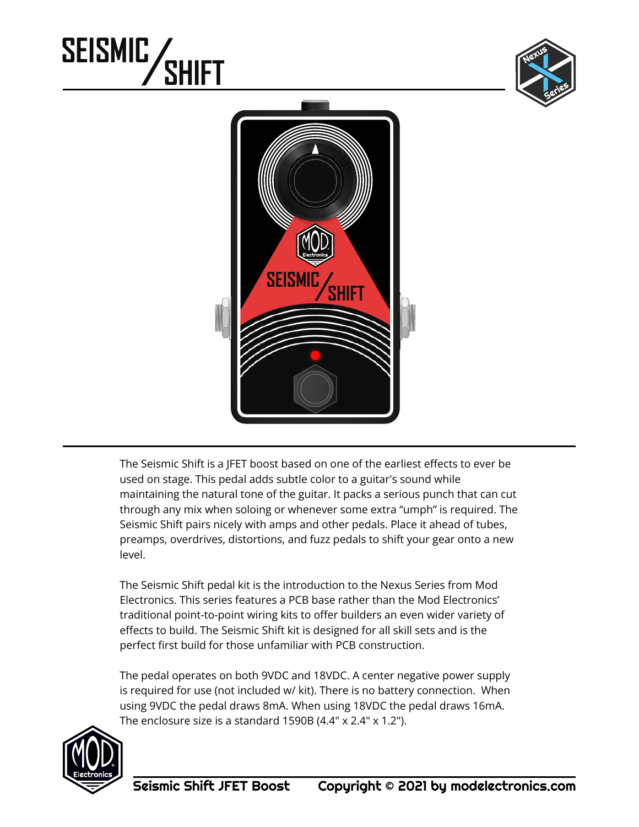# **SEISMIC SHIFT**





The Seismic Shift is a JFET boost based on one of the earliest effects to ever be used on stage. This pedal adds subtle color to a guitar's sound while maintaining the natural tone of the guitar. It packs a serious punch that can cut through any mix when soloing or whenever some extra "umph" is required. The Seismic Shift pairs nicely with amps and other pedals. Place it ahead of tubes, preamps, overdrives, distortions, and fuzz pedals to shift your gear onto a new level.

The Seismic Shift pedal kit is the introduction to the Nexus Series from Mod Electronics. This series features a PCB base rather than the Mod Electronics' traditional point-to-point wiring kits to offer builders an even wider variety of effects to build. The Seismic Shift kit is designed for all skill sets and is the perfect first build for those unfamiliar with PCB construction.

The pedal operates on both 9VDC and 18VDC. A center negative power supply is required for use (not included w/ kit). There is no battery connection. When using 9VDC the pedal draws 8mA. When using 18VDC the pedal draws 16mA. The enclosure size is a standard  $1590B(4.4" \times 2.4" \times 1.2")$ .

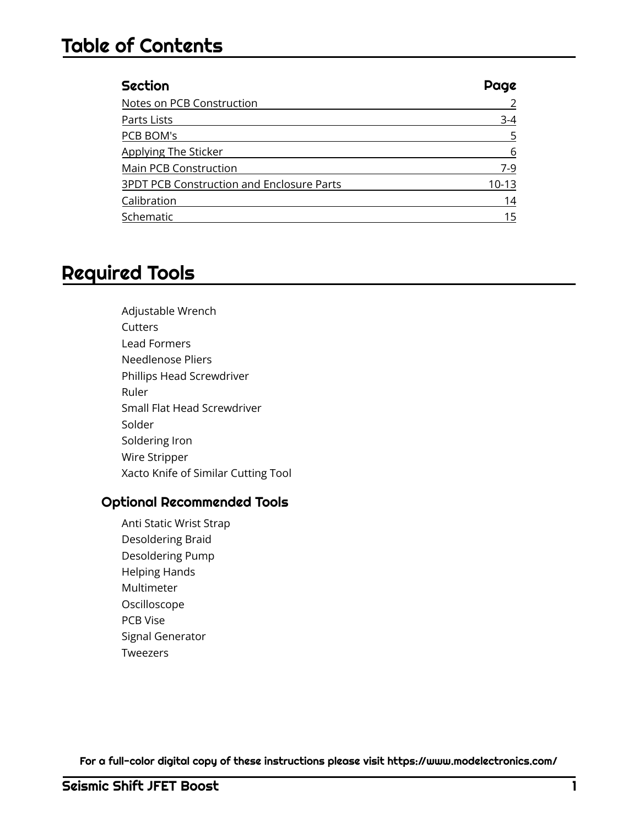### Table of Contents

| <b>Section</b>                                   | Page    |
|--------------------------------------------------|---------|
| Notes on PCB Construction                        |         |
| Parts Lists                                      | $3-4$   |
| PCB BOM's                                        | 5       |
| Applying The Sticker                             | 6       |
| Main PCB Construction                            | $7-9$   |
| <b>3PDT PCB Construction and Enclosure Parts</b> | $10-13$ |
| Calibration                                      | 14      |
| Schematic                                        | 15      |

## Required Tools

Adjustable Wrench **Cutters** Lead Formers Needlenose Pliers Phillips Head Screwdriver Ruler Small Flat Head Screwdriver Solder Soldering Iron Wire Stripper Xacto Knife of Similar Cutting Tool

#### Optional Recommended Tools

Anti Static Wrist Strap Desoldering Braid Desoldering Pump Helping Hands Multimeter Oscilloscope PCB Vise Signal Generator Tweezers

For a full-color digital copy of these instructions please visit https://www.modelectronics.com/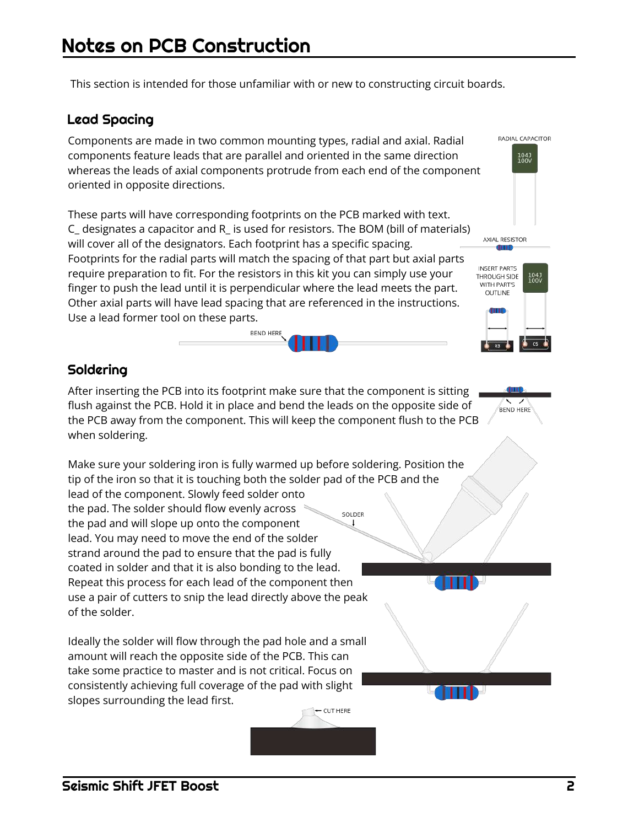This section is intended for those unfamiliar with or new to constructing circuit boards.

#### Lead Spacing

Components are made in two common mounting types, radial and axial. Radial components feature leads that are parallel and oriented in the same direction whereas the leads of axial components protrude from each end of the component oriented in opposite directions.

These parts will have corresponding footprints on the PCB marked with text. C\_ designates a capacitor and R\_ is used for resistors. The BOM (bill of materials) will cover all of the designators. Each footprint has a specific spacing. Footprints for the radial parts will match the spacing of that part but axial parts require preparation to fit. For the resistors in this kit you can simply use your finger to push the lead until it is perpendicular where the lead meets the part. Other axial parts will have lead spacing that are referenced in the instructions. Use a lead former tool on these parts.

**BEND HERE** 



RADIAL CAPACITOR

#### Soldering

of the solder.

After inserting the PCB into its footprint make sure that the component is sitting flush against the PCB. Hold it in place and bend the leads on the opposite side of the PCB away from the component. This will keep the component flush to the PCB when soldering.

Make sure your soldering iron is fully warmed up before soldering. Position the tip of the iron so that it is touching both the solder pad of the PCB and the lead of the component. Slowly feed solder onto the pad. The solder should flow evenly across SOLDER the pad and will slope up onto the component lead. You may need to move the end of the solder strand around the pad to ensure that the pad is fully coated in solder and that it is also bonding to the lead. Repeat this process for each lead of the component then use a pair of cutters to snip the lead directly above the peak

Ideally the solder will flow through the pad hole and a small amount will reach the opposite side of the PCB. This can take some practice to master and is not critical. Focus on consistently achieving full coverage of the pad with slight slopes surrounding the lead first.

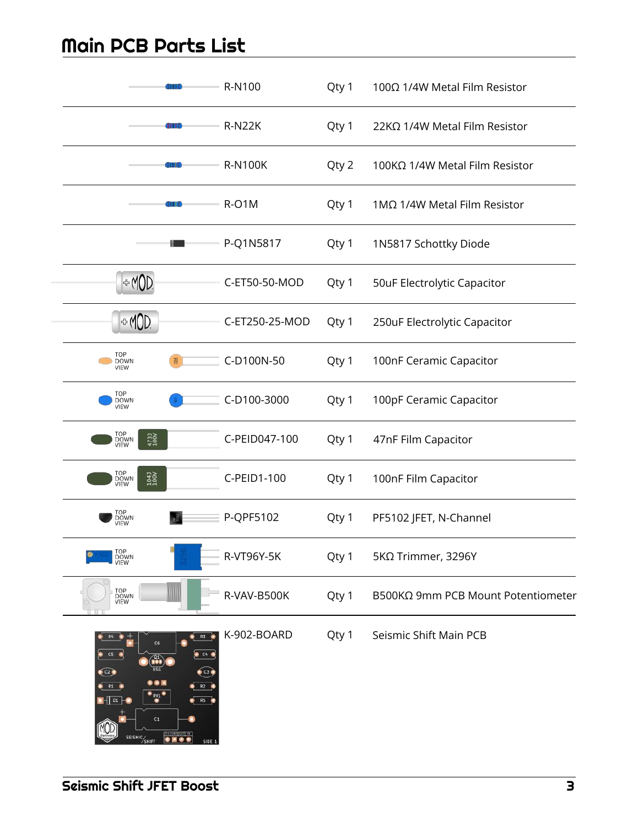# Main PCB Parts List

| THE                                                                                                                                                                                                                                                                                                                                                                      | R-N100         | Qty 1 | 100Ω 1/4W Metal Film Resistor      |
|--------------------------------------------------------------------------------------------------------------------------------------------------------------------------------------------------------------------------------------------------------------------------------------------------------------------------------------------------------------------------|----------------|-------|------------------------------------|
| IIIB                                                                                                                                                                                                                                                                                                                                                                     | <b>R-N22K</b>  | Qty 1 | 22KΩ 1/4W Metal Film Resistor      |
| 有限                                                                                                                                                                                                                                                                                                                                                                       | <b>R-N100K</b> | Qty 2 | 100KΩ 1/4W Metal Film Resistor     |
| ш                                                                                                                                                                                                                                                                                                                                                                        | R-O1M          | Qty 1 | 1ΜΩ 1/4W Metal Film Resistor       |
|                                                                                                                                                                                                                                                                                                                                                                          | P-Q1N5817      | Qty 1 | 1N5817 Schottky Diode              |
| ⊕MOD                                                                                                                                                                                                                                                                                                                                                                     | C-ET50-50-MOD  | Qty 1 | 50uF Electrolytic Capacitor        |
| ⊕ MOD                                                                                                                                                                                                                                                                                                                                                                    | C-ET250-25-MOD | Qty 1 | 250uF Electrolytic Capacitor       |
| TOP<br>칰<br><b>DOWN</b><br>VIEW                                                                                                                                                                                                                                                                                                                                          | C-D100N-50     | Qty 1 | 100nF Ceramic Capacitor            |
| TOP<br><b>DOWN</b><br>VIEW                                                                                                                                                                                                                                                                                                                                               | C-D100-3000    | Qty 1 | 100pF Ceramic Capacitor            |
| TOP<br>DOWN<br>4731<br>100V<br>VIEW                                                                                                                                                                                                                                                                                                                                      | C-PEID047-100  | Qty 1 | 47nF Film Capacitor                |
| TOP<br>DOWN<br>VIEW<br>1043<br>100V                                                                                                                                                                                                                                                                                                                                      | C-PEID1-100    | Qty 1 | 100nF Film Capacitor               |
| TOP<br>DOWN<br>VIEW                                                                                                                                                                                                                                                                                                                                                      | P-QPF5102      | Qty 1 | PF5102 JFET, N-Channel             |
| TOP<br>DOWN<br>VIEW                                                                                                                                                                                                                                                                                                                                                      | R-VT96Y-5K     | Qty 1 | 5ΚΩ Trimmer, 3296Y                 |
| TOP<br>DOWN<br>VIEW                                                                                                                                                                                                                                                                                                                                                      | R-VAV-B500K    | Qty 1 | B500KΩ 9mm PCB Mount Potentiometer |
| R3<br>C6<br><b>8 C4 8</b><br>C5<br>$\left( 72\right)$<br>$\bullet$ c3 $\bullet$<br>R1<br>R2<br>$\frac{1}{2}$ RV1<br>$\blacksquare$ Di<br>R5 <b>C</b><br>C1<br>$\begin{array}{ c c c c }\hline \textbf{w} & \textbf{cos} & \textbf{cos} & \textbf{w} \\ \hline \textbf{0} & \textbf{0} & \textbf{0} & \textbf{0} \\ \hline \end{array}$<br>SEISMIC/SHIFT<br><b>SIDE 1</b> | K-902-BOARD    | Qty 1 | Seismic Shift Main PCB             |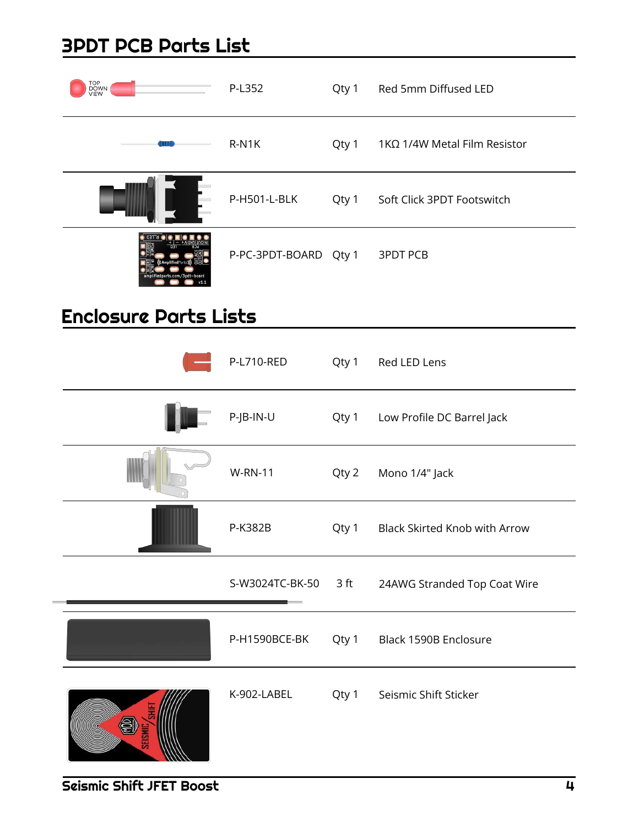# 3PDT PCB Parts List

| TOP<br>DOWN<br>VIEW          | P-L352                | Qty 1 | Red 5mm Diffused LED                 |
|------------------------------|-----------------------|-------|--------------------------------------|
|                              | R-N1K                 | Qty 1 | 1 KΩ 1/4 W Metal Film Resistor       |
|                              | P-H501-L-BLK          | Qty 1 | Soft Click 3PDT Footswitch           |
|                              | P-PC-3PDT-BOARD Qty 1 |       | <b>3PDT PCB</b>                      |
| <b>Enclosure Parts Lists</b> |                       |       |                                      |
|                              | P-L710-RED            | Qty 1 | Red LED Lens                         |
|                              | P-JB-IN-U             | Qty 1 | Low Profile DC Barrel Jack           |
|                              | <b>W-RN-11</b>        | Qty 2 | Mono 1/4" Jack                       |
|                              | P-K382B               | Qty 1 | <b>Black Skirted Knob with Arrow</b> |
|                              | S-W3024TC-BK-50       | 3 ft  | 24AWG Stranded Top Coat Wire         |
|                              | P-H1590BCE-BK         | Qty 1 | Black 1590B Enclosure                |
|                              | K-902-LABEL           | Qty 1 | Seismic Shift Sticker                |

Seismic Shift JFET Boost 4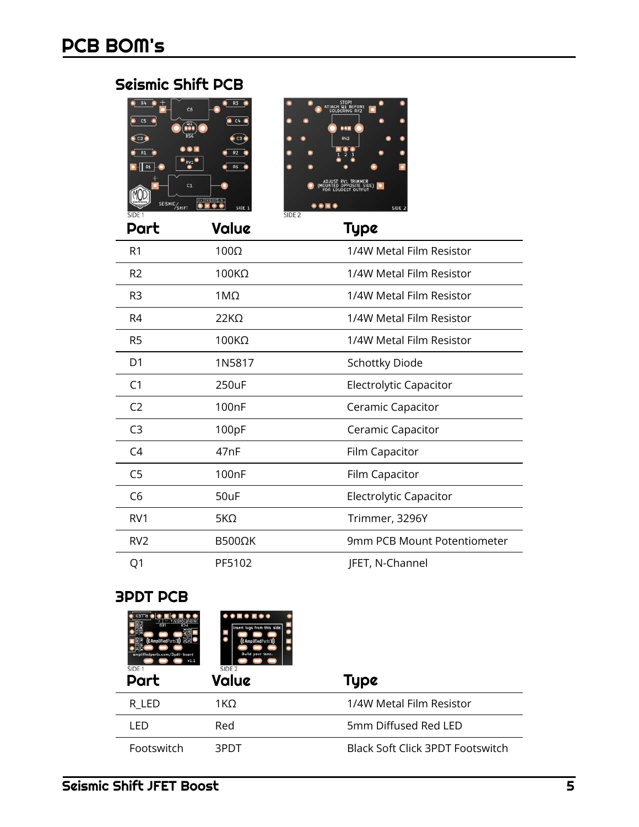# Seismic Shift PCB





| Part            | Value              | Type                        |
|-----------------|--------------------|-----------------------------|
| R1              | $100\Omega$        | 1/4W Metal Film Resistor    |
| R <sub>2</sub>  | $100K\Omega$       | 1/4W Metal Film Resistor    |
| R3              | $1M\Omega$         | 1/4W Metal Film Resistor    |
| R4              | $22K\Omega$        | 1/4W Metal Film Resistor    |
| R5              | $100K\Omega$       | 1/4W Metal Film Resistor    |
| D1              | 1N5817             | <b>Schottky Diode</b>       |
| C1              | 250uF              | Electrolytic Capacitor      |
| C <sub>2</sub>  | 100 <sub>n</sub> F | Ceramic Capacitor           |
| C <sub>3</sub>  | 100pF              | Ceramic Capacitor           |
| C4              | 47 <sub>n</sub> F  | Film Capacitor              |
| C <sub>5</sub>  | 100 <sub>n</sub> F | <b>Film Capacitor</b>       |
| C <sub>6</sub>  | 50uF               | Electrolytic Capacitor      |
| RV <sub>1</sub> | $5K\Omega$         | Trimmer, 3296Y              |
| RV <sub>2</sub> | B500ΩK             | 9mm PCB Mount Potentiometer |
| Q1              | PF5102             | JFET, N-Channel             |

#### 3PDT PCB

| ((AmplifiedParts'))<br>amplifiedparts.com/3pdt-board<br>SIDE 1<br>Part | Insert lugs from this side.<br>((AmplifiedParts')<br><b>Build your tone.</b><br>SIDE <sub>2</sub><br>Value | Type                                    |
|------------------------------------------------------------------------|------------------------------------------------------------------------------------------------------------|-----------------------------------------|
| r led                                                                  | 1KΩ                                                                                                        | 1/4W Metal Film Resistor                |
| LED                                                                    | Red                                                                                                        | 5mm Diffused Red LED                    |
| Footswitch                                                             | 3PDT                                                                                                       | <b>Black Soft Click 3PDT Footswitch</b> |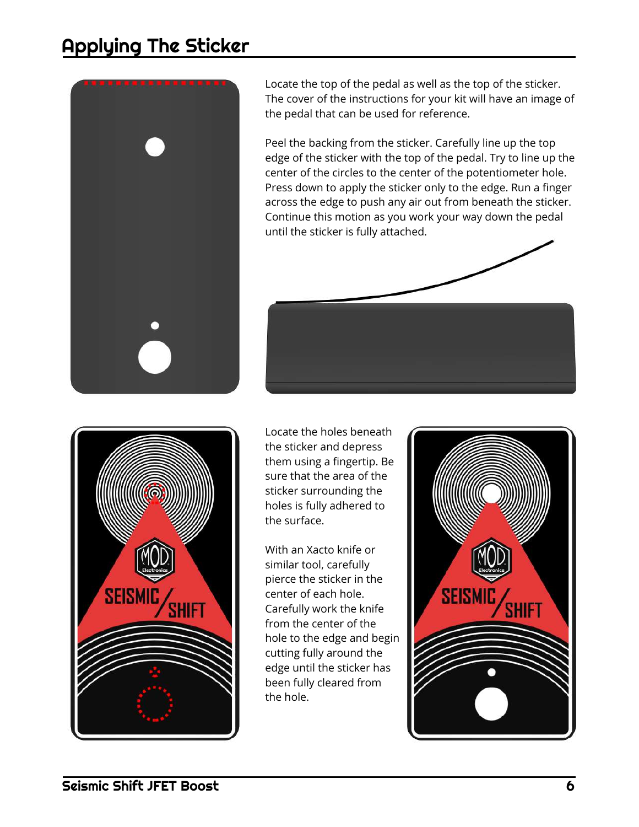# Applying The Sticker



Locate the top of the pedal as well as the top of the sticker. The cover of the instructions for your kit will have an image of the pedal that can be used for reference.

Peel the backing from the sticker. Carefully line up the top edge of the sticker with the top of the pedal. Try to line up the center of the circles to the center of the potentiometer hole. Press down to apply the sticker only to the edge. Run a finger across the edge to push any air out from beneath the sticker. Continue this motion as you work your way down the pedal until the sticker is fully attached.





Locate the holes beneath the sticker and depress them using a fingertip. Be sure that the area of the sticker surrounding the holes is fully adhered to the surface.

With an Xacto knife or similar tool, carefully pierce the sticker in the center of each hole. Carefully work the knife from the center of the hole to the edge and begin cutting fully around the edge until the sticker has been fully cleared from the hole.

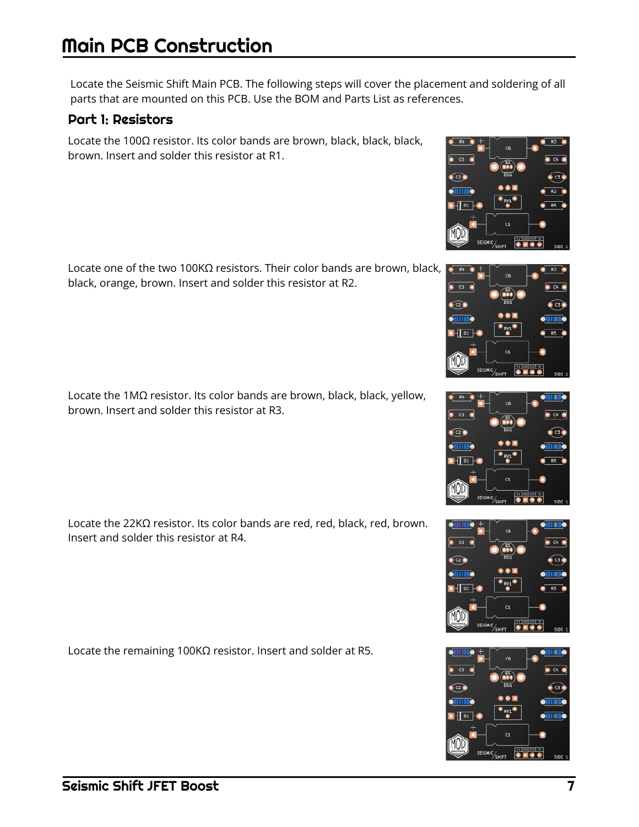# Main PCB Construction

Locate the Seismic Shift Main PCB. The following steps will cover the placement and soldering of all parts that are mounted on this PCB. Use the BOM and Parts List as references.

#### Part 1: Resistors

Locate the 100Ω resistor. Its color bands are brown, black, black, black, brown. Insert and solder this resistor at R1.

Locate one of the two 100KΩ resistors. Their color bands are brown, black, black, orange, brown. Insert and solder this resistor at R2.

Locate the 1MΩ resistor. Its color bands are brown, black, black, yellow, brown. Insert and solder this resistor at R3.

Locate the 22KΩ resistor. Its color bands are red, red, black, red, brown. Insert and solder this resistor at R4.

Locate the remaining 100KΩ resistor. Insert and solder at R5.







 $\bullet$  cs



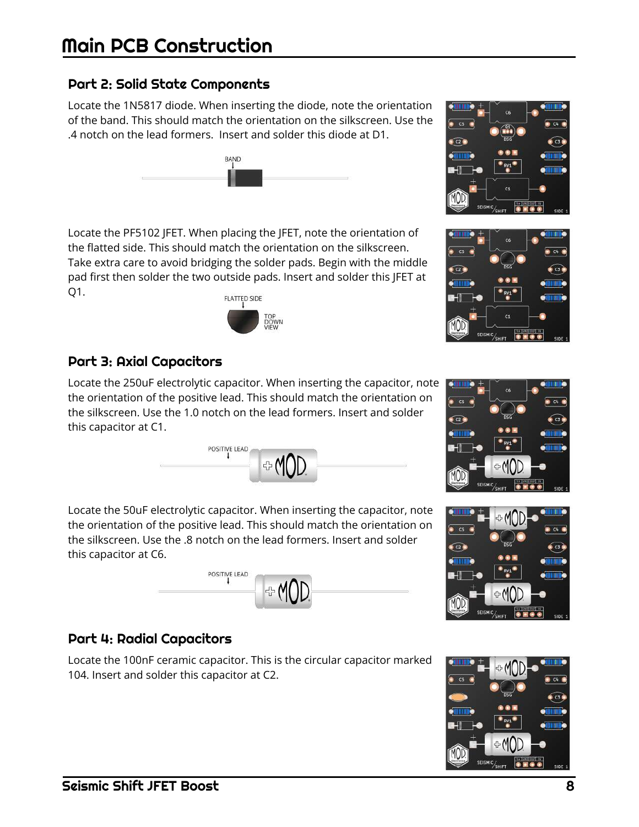#### Part 2: Solid State Components

Locate the 1N5817 diode. When inserting the diode, note the orientation of the band. This should match the orientation on the silkscreen. Use the .4 notch on the lead formers. Insert and solder this diode at D1.

**BAND** 



#### Part 3: Axial Capacitors

Locate the 250uF electrolytic capacitor. When inserting the capacitor, note the orientation of the positive lead. This should match the orientation on the silkscreen. Use the 1.0 notch on the lead formers. Insert and solder this capacitor at C1.

POSITIVE LEAD

POSITIVE LEAD

**DOWN** 

⊹M

Locate the 50uF electrolytic capacitor. When inserting the capacitor, note the orientation of the positive lead. This should match the orientation on the silkscreen. Use the .8 notch on the lead formers. Insert and solder this capacitor at C6.

#### Part 4: Radial Capacitors

Locate the 100nF ceramic capacitor. This is the circular capacitor marked 104. Insert and solder this capacitor at C2.









 $620$ 

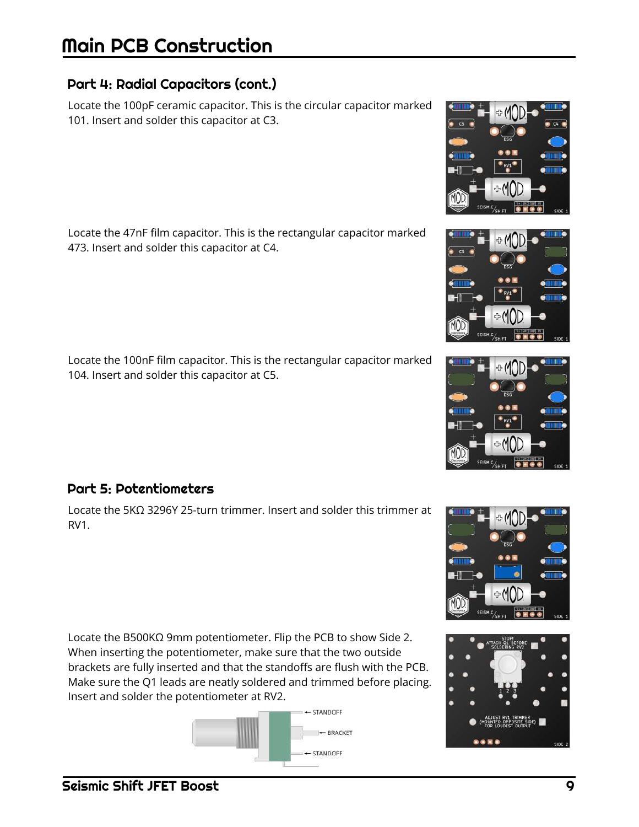#### Part 4: Radial Capacitors (cont.)

Locate the 100pF ceramic capacitor. This is the circular capacitor marked 101. Insert and solder this capacitor at C3.

Locate the 47nF film capacitor. This is the rectangular capacitor marked 473. Insert and solder this capacitor at C4.

Locate the 100nF film capacitor. This is the rectangular capacitor marked 104. Insert and solder this capacitor at C5.

#### Part 5: Potentiometers

Locate the 5KΩ 3296Y 25-turn trimmer. Insert and solder this trimmer at RV1.

Locate the B500KΩ 9mm potentiometer. Flip the PCB to show Side 2. When inserting the potentiometer, make sure that the two outside brackets are fully inserted and that the standoffs are flush with the PCB. Make sure the Q1 leads are neatly soldered and trimmed before placing. Insert and solder the potentiometer at RV2.









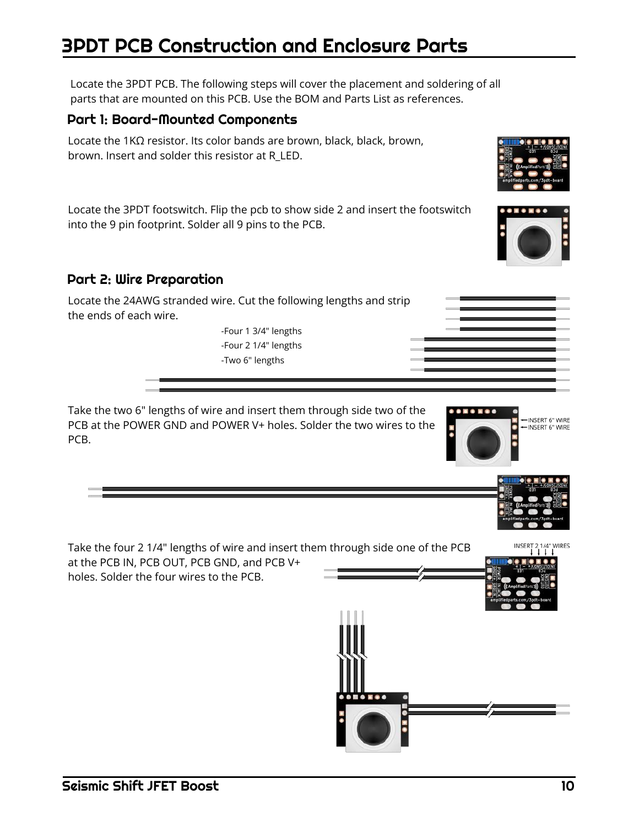# 3PDT PCB Construction and Enclosure Parts

Locate the 3PDT PCB. The following steps will cover the placement and soldering of all parts that are mounted on this PCB. Use the BOM and Parts List as references.

#### Part 1: Board-Mounted Components

Locate the 1KΩ resistor. Its color bands are brown, black, black, brown, brown. Insert and solder this resistor at R\_LED.

Locate the 3PDT footswitch. Flip the pcb to show side 2 and insert the footswitch into the 9 pin footprint. Solder all 9 pins to the PCB.

#### Part 2: Wire Preparation



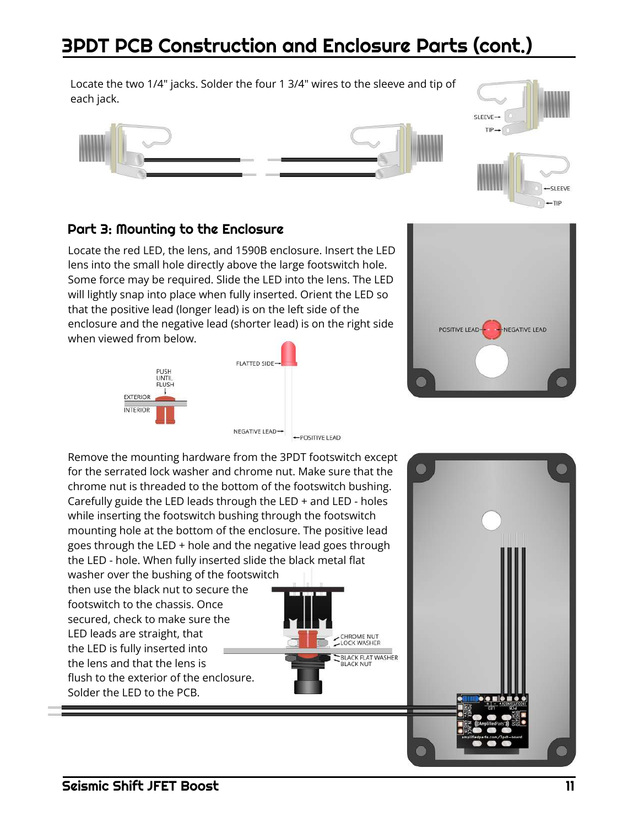# 3PDT PCB Construction and Enclosure Parts (cont.)

Locate the two 1/4" jacks. Solder the four 1 3/4" wires to the sleeve and tip of each jack.



#### Part 3: Mounting to the Enclosure

Locate the red LED, the lens, and 1590B enclosure. Insert the LED lens into the small hole directly above the large footswitch hole. Some force may be required. Slide the LED into the lens. The LED will lightly snap into place when fully inserted. Orient the LED so that the positive lead (longer lead) is on the left side of the enclosure and the negative lead (shorter lead) is on the right side when viewed from below.







 $-TIP$ 

Remove the mounting hardware from the 3PDT footswitch except for the serrated lock washer and chrome nut. Make sure that the chrome nut is threaded to the bottom of the footswitch bushing. Carefully guide the LED leads through the LED + and LED - holes while inserting the footswitch bushing through the footswitch mounting hole at the bottom of the enclosure. The positive lead goes through the LED + hole and the negative lead goes through the LED - hole. When fully inserted slide the black metal flat

washer over the bushing of the footswitch then use the black nut to secure the footswitch to the chassis. Once secured, check to make sure the LED leads are straight, that the LED is fully inserted into the lens and that the lens is flush to the exterior of the enclosure. Solder the LED to the PCB.



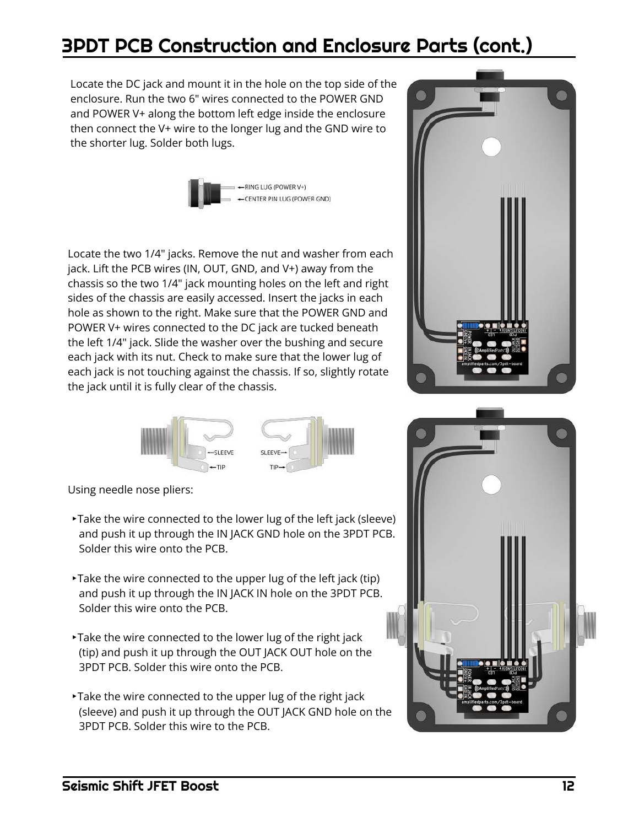# 3PDT PCB Construction and Enclosure Parts (cont.)

Locate the DC jack and mount it in the hole on the top side of the enclosure. Run the two 6" wires connected to the POWER GND and POWER V+ along the bottom left edge inside the enclosure then connect the V+ wire to the longer lug and the GND wire to the shorter lug. Solder both lugs.



Locate the two 1/4" jacks. Remove the nut and washer from each jack. Lift the PCB wires (IN, OUT, GND, and V+) away from the chassis so the two 1/4" jack mounting holes on the left and right sides of the chassis are easily accessed. Insert the jacks in each hole as shown to the right. Make sure that the POWER GND and POWER V+ wires connected to the DC jack are tucked beneath the left 1/4" jack. Slide the washer over the bushing and secure each jack with its nut. Check to make sure that the lower lug of each jack is not touching against the chassis. If so, slightly rotate the jack until it is fully clear of the chassis.



Using needle nose pliers:

- ‣Take the wire connected to the lower lug of the left jack (sleeve) and push it up through the IN JACK GND hole on the 3PDT PCB. Solder this wire onto the PCB.
- ‣Take the wire connected to the upper lug of the left jack (tip) and push it up through the IN JACK IN hole on the 3PDT PCB. Solder this wire onto the PCB.
- ‣Take the wire connected to the lower lug of the right jack (tip) and push it up through the OUT JACK OUT hole on the 3PDT PCB. Solder this wire onto the PCB.
- ‣Take the wire connected to the upper lug of the right jack (sleeve) and push it up through the OUT JACK GND hole on the 3PDT PCB. Solder this wire to the PCB.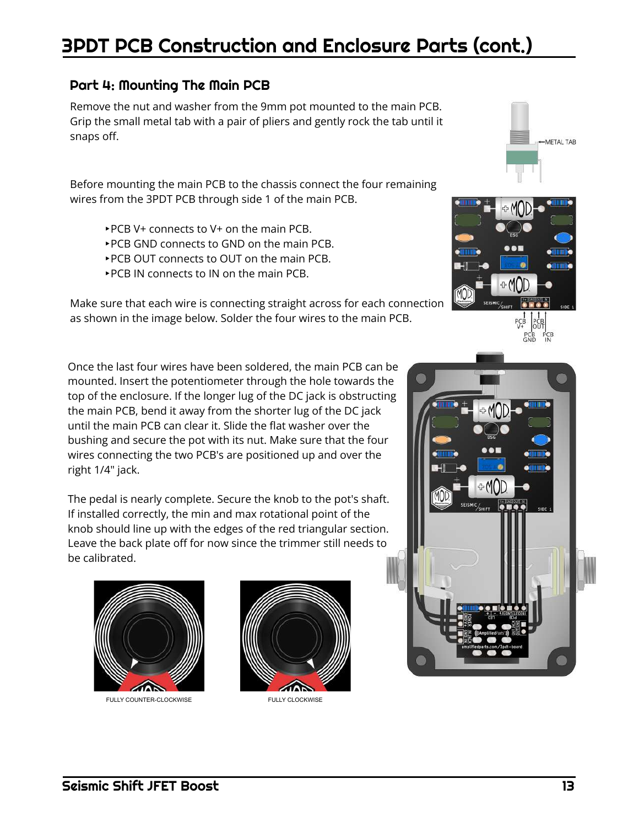# 3PDT PCB Construction and Enclosure Parts (cont.)

#### Part 4: Mounting The Main PCB

Remove the nut and washer from the 9mm pot mounted to the main PCB. Grip the small metal tab with a pair of pliers and gently rock the tab until it snaps off.

Before mounting the main PCB to the chassis connect the four remaining wires from the 3PDT PCB through side 1 of the main PCB.

- ‣PCB V+ connects to V+ on the main PCB.
- ‣PCB GND connects to GND on the main PCB.
- ‣PCB OUT connects to OUT on the main PCB.
- ‣PCB IN connects to IN on the main PCB.

Make sure that each wire is connecting straight across for each connection as shown in the image below. Solder the four wires to the main PCB.

Once the last four wires have been soldered, the main PCB can be mounted. Insert the potentiometer through the hole towards the top of the enclosure. If the longer lug of the DC jack is obstructing the main PCB, bend it away from the shorter lug of the DC jack until the main PCB can clear it. Slide the flat washer over the bushing and secure the pot with its nut. Make sure that the four wires connecting the two PCB's are positioned up and over the right 1/4" jack.

The pedal is nearly complete. Secure the knob to the pot's shaft. If installed correctly, the min and max rotational point of the knob should line up with the edges of the red triangular section. Leave the back plate off for now since the trimmer still needs to be calibrated.









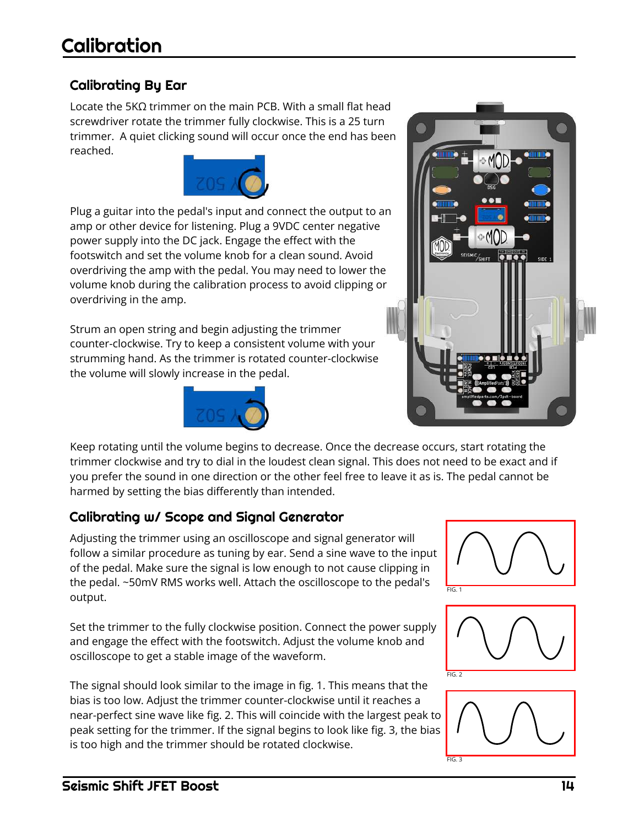#### Calibrating By Ear

Locate the 5KΩ trimmer on the main PCB. With a small flat head screwdriver rotate the trimmer fully clockwise. This is a 25 turn trimmer. A quiet clicking sound will occur once the end has been reached.



Plug a guitar into the pedal's input and connect the output to an amp or other device for listening. Plug a 9VDC center negative power supply into the DC jack. Engage the effect with the footswitch and set the volume knob for a clean sound. Avoid overdriving the amp with the pedal. You may need to lower the volume knob during the calibration process to avoid clipping or overdriving in the amp.

Strum an open string and begin adjusting the trimmer counter-clockwise. Try to keep a consistent volume with your strumming hand. As the trimmer is rotated counter-clockwise the volume will slowly increase in the pedal.





Keep rotating until the volume begins to decrease. Once the decrease occurs, start rotating the trimmer clockwise and try to dial in the loudest clean signal. This does not need to be exact and if you prefer the sound in one direction or the other feel free to leave it as is. The pedal cannot be harmed by setting the bias differently than intended.

#### Calibrating w/ Scope and Signal Generator

Adjusting the trimmer using an oscilloscope and signal generator will follow a similar procedure as tuning by ear. Send a sine wave to the input of the pedal. Make sure the signal is low enough to not cause clipping in the pedal. ~50mV RMS works well. Attach the oscilloscope to the pedal's output.

Set the trimmer to the fully clockwise position. Connect the power supply and engage the effect with the footswitch. Adjust the volume knob and oscilloscope to get a stable image of the waveform.

The signal should look similar to the image in fig. 1. This means that the bias is too low. Adjust the trimmer counter-clockwise until it reaches a near-perfect sine wave like fig. 2. This will coincide with the largest peak to peak setting for the trimmer. If the signal begins to look like fig. 3, the bias is too high and the trimmer should be rotated clockwise.